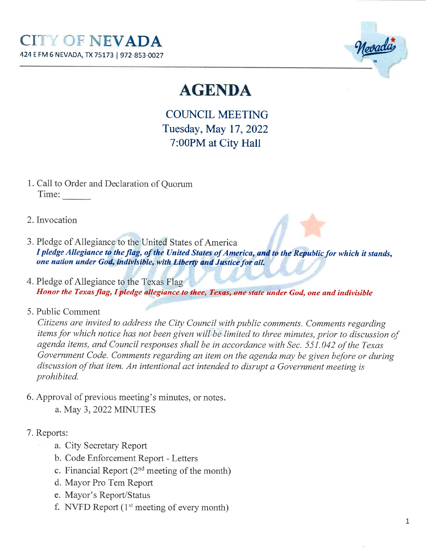

# **AGENDA**

COUNCIL MEETING Tuesday, May 17,20227:00PM at City Hall

- 1. Call to Order and Declaration of QuorumTime:
- 2. Invocation
- 3. Pledge of Allegiance to the United States of America I pledge Allegiance to the flag, of the United States of America, and to the Republic for which it stands, one nation under God, indivisible, with Liberty and Justice for all.
- 4. Pledge of Aliegiance to the Texas FlagHonor the Texas flag, I pledge allegiance to thee, Texas, one state under God, one and indivisible
- 5. Public Comment

 Citizens are invited to address the City Council with publìc comments. Comments regarding items for which notice has not been given will be limited to three minutes, prior to díscussion ofagenda ítems, and Council responses shall be in accordance with Sec. 551.042 of the Texas Government Code. Comments regardíng an item on the agenda may be given before or duringdiscussion of that item. An intentíonal act intended to dísrupt a Government meeting isprohíbited.

- 6. Approval of previous meeting's minutes, or notes
	- a. May 3, 2022 MINUTES
- 7. Reports:
	- a. City Secretary Report
	- b. Code Enforcement Report Letters
	- c. Financial Report  $(2^{nd}$  meeting of the month)
	- d. Mayor Pro Tem Report
	- e. Mayor's Report/Status
	- f. NVFD Report  $(1<sup>st</sup> meeting of every month)$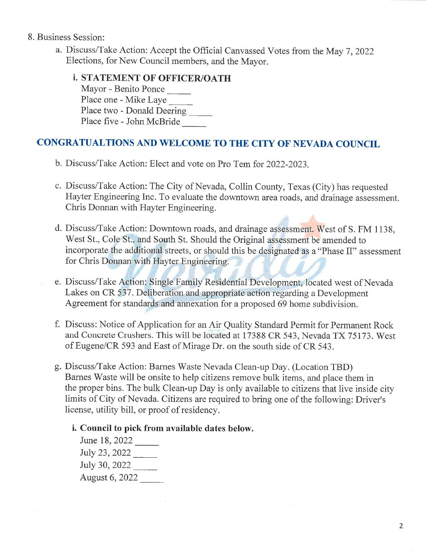### 8. Business Session:

- a. Discuss/Take Action: Accept the Official Canvassed Votes from the May 7, 2022 Elections, for New Council members, and the Mayor.
	- ¡. STATEMENT OF OFFICER/OATHMayor - Benito PoncePlace one - Mike Laye Place two - Donald Deering Place five - John McBride

## CONGRATUALTIONS AND WELCOME TO THE CITY OF NEVADA COUNCIL

- b. Discuss/Take Action: Elect and vote on Pro Tem for 2022-2023
- c. Discuss/Take Action: The City of Nevada, Collin County, Texas (City) has requested Hayter Engineering Inc. To evaluate the downtown area roads, and drainage assessment.Chris Donnan with Hayter Engineering.
- d. Discuss/Take Action: Downtown roads, and drainage assessment. West of S. FM 1138, West St., Cole St., and South St. Should the Original assessment be amended to incorporate the additional streets, or should this be designated as a "Phase II" assessmentfor Chris Donnan with Hayter Engineering.
- e. Discuss/Take Action: Single Family Residential Development, located west of Nevada Lakes on CR 537. Deliberation and appropriate action regarding a DevelopmentAgreement for standards and annexation for a proposed 69 home subdivision.
- f. Discuss: Notice of Application for an Air Quality Standard Permit for Permanent Rockand Concrete Crushers. This will be located at 17388 CR 543, Nevada TX 75173. West of Eugene/CR 593 and East of Mirage Dr. on the south side of CR 543.
- g. Discuss/Take Action: Barnes Waste Nevada Clean-up Day. (Location TBD) Barnes Waste will be onsite to help citizens remove bulk items, and place them in the proper bins. The bulk Clean-up Day is only available to citizens that live inside citylimits of City of Nevada. Citizens are required to bring one of the following: Driver's license, utility bill, or proof of residency.
	- i. Council to pick from available dates below.

June 18, 2022 IuIy 23, 2022 July 30, 2022August 6,2022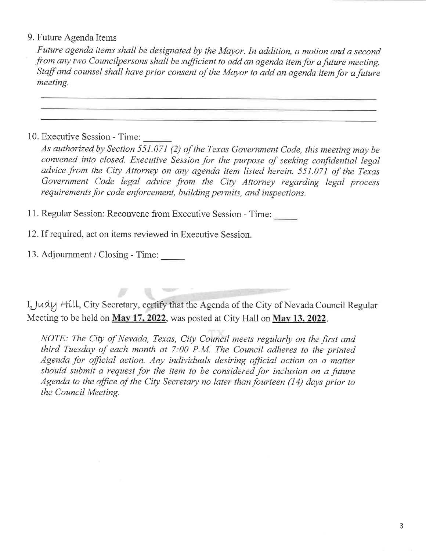## 9. Future Agenda Items

 Future agenda ítems shall be designated by the Mayor. In addition, a motion and a secondfrom any two Councilpersons shall be sufficient to add an agenda item for a future meeting Staff and counsel shall have prior consent of the Mayor to add an agenda item for a future meeting.

## 10. Executive Session - Time:

As authorized by Section 551.071 (2) of the Texas Government Code, this meeting may be convened into closed. Executive Session for the purpose of seeking confidential legaladvice from the City Attorney on any agenda item listed herein. 551.071 of the Texas Government Code legal advíce fro\* the City Attorney regarding legal processrequirements for code enforcement, building permits, and inspections.

11. Regular Session: Reconvene from Executive Session - Time:

- 12. If required, act on items reviewed in Executive Session.
- 13. Adjoumment / Closing Time:

I, Judy Hill, City Secretary, certify that the Agenda of the City of Nevada Council Regular Meeting to be held on May 17, 2022, was posted at City Hall on May 13, 2022.

NOTE: The City of Nevada, Texas, City Council meets regularly on the first and thírd Tuesday of each month at 7:00 P.M. The Council adheres to the printedAgenda for official action. Any individuals desiring official action on a matter<br>should submit a request for the item to be considered for inclusion on a future Agenda to the office of the City Secretary no later than fourteen (14) days prior to the Council Meetíng.